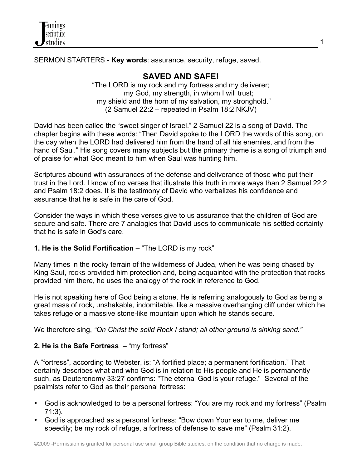

SERMON STARTERS - **Key words**: assurance, security, refuge, saved.

# **SAVED AND SAFE!**

1

"The LORD is my rock and my fortress and my deliverer; my God, my strength, in whom I will trust; my shield and the horn of my salvation, my stronghold." (2 Samuel 22:2 – repeated in Psalm 18:2 NKJV)

David has been called the "sweet singer of Israel." 2 Samuel 22 is a song of David. The chapter begins with these words: "Then David spoke to the LORD the words of this song, on the day when the LORD had delivered him from the hand of all his enemies, and from the hand of Saul." His song covers many subjects but the primary theme is a song of triumph and of praise for what God meant to him when Saul was hunting him.

Scriptures abound with assurances of the defense and deliverance of those who put their trust in the Lord. I know of no verses that illustrate this truth in more ways than 2 Samuel 22:2 and Psalm 18:2 does. It is the testimony of David who verbalizes his confidence and assurance that he is safe in the care of God.

Consider the ways in which these verses give to us assurance that the children of God are secure and safe. There are 7 analogies that David uses to communicate his settled certainty that he is safe in God's care.

#### **1. He is the Solid Fortification** – "The LORD is my rock"

Many times in the rocky terrain of the wilderness of Judea, when he was being chased by King Saul, rocks provided him protection and, being acquainted with the protection that rocks provided him there, he uses the analogy of the rock in reference to God.

He is not speaking here of God being a stone. He is referring analogously to God as being a great mass of rock, unshakable, indomitable, like a massive overhanging cliff under which he takes refuge or a massive stone-like mountain upon which he stands secure.

We therefore sing, *"On Christ the solid Rock I stand; all other ground is sinking sand."*

## **2. He is the Safe Fortress** – "my fortress"

A "fortress", according to Webster, is: "A fortified place; a permanent fortification." That certainly describes what and who God is in relation to His people and He is permanently such, as Deuteronomy 33:27 confirms: "The eternal God is your refuge." Several of the psalmists refer to God as their personal fortress:

- God is acknowledged to be a personal fortress: "You are my rock and my fortress" (Psalm 71:3).
- God is approached as a personal fortress: "Bow down Your ear to me, deliver me speedily; be my rock of refuge, a fortress of defense to save me" (Psalm 31:2).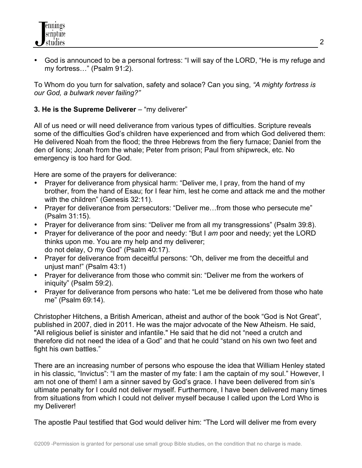

• God is announced to be a personal fortress: "I will say of the LORD, "He is my refuge and my fortress…" (Psalm 91:2).

To Whom do you turn for salvation, safety and solace? Can you sing, *"A mighty fortress is our God, a bulwark never failing?"*

#### **3. He is the Supreme Deliverer** – "my deliverer"

All of us need or will need deliverance from various types of difficulties. Scripture reveals some of the difficulties God's children have experienced and from which God delivered them: He delivered Noah from the flood; the three Hebrews from the fiery furnace; Daniel from the den of lions; Jonah from the whale; Peter from prison; Paul from shipwreck, etc. No emergency is too hard for God.

Here are some of the prayers for deliverance:

- Prayer for deliverance from physical harm: "Deliver me, I pray, from the hand of my brother, from the hand of Esau; for I fear him, lest he come and attack me and the mother with the children" (Genesis 32:11).
- Prayer for deliverance from persecutors: "Deliver me...from those who persecute me" (Psalm 31:15).
- Prayer for deliverance from sins: "Deliver me from all my transgressions" (Psalm 39:8).
- Prayer for deliverance of the poor and needy: "But I *am* poor and needy; yet the LORD thinks upon me. You are my help and my deliverer; do not delay, O my God" (Psalm 40:17).
- Prayer for deliverance from deceitful persons: "Oh, deliver me from the deceitful and unjust man!" (Psalm 43:1)
- Prayer for deliverance from those who commit sin: "Deliver me from the workers of iniquity" (Psalm 59:2).
- Prayer for deliverance from persons who hate: "Let me be delivered from those who hate me" (Psalm 69:14).

Christopher Hitchens, a British American, atheist and author of the book "God is Not Great", published in 2007, died in 2011. He was the major advocate of the New Atheism. He said, "All religious belief is sinister and infantile." He said that he did not "need a crutch and therefore did not need the idea of a God" and that he could "stand on his own two feet and fight his own battles."

There are an increasing number of persons who espouse the idea that William Henley stated in his classic, "Invictus": "I am the master of my fate: I am the captain of my soul." However, I am not one of them! I am a sinner saved by God's grace. I have been delivered from sin's ultimate penalty for I could not deliver myself. Furthermore, I have been delivered many times from situations from which I could not deliver myself because I called upon the Lord Who is my Deliverer!

The apostle Paul testified that God would deliver him: "The Lord will deliver me from every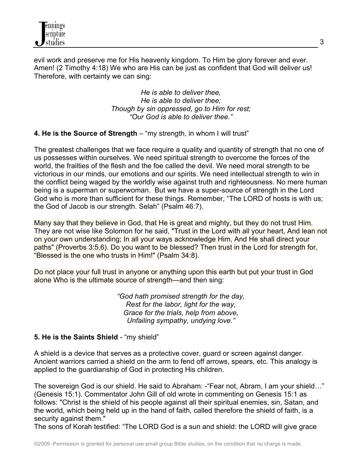evil work and preserve me for His heavenly kingdom. To Him be glory forever and ever. Amen! (2 Timothy 4:18) We who are His can be just as confident that God will deliver us! Therefore, with certainty we can sing:

> *He is able to deliver thee, He is able to deliver thee; Though by sin oppressed, go to Him for rest; "Our God is able to deliver thee."*

**4. He is the Source of Strength** – "my strength, in whom I will trust"

The greatest challenges that we face require a quality and quantity of strength that no one of us possesses within ourselves. We need spiritual strength to overcome the forces of the world, the frailties of the flesh and the foe called the devil. We need moral strength to be victorious in our minds, our emotions and our spirits. We need intellectual strength to win in the conflict being waged by the worldly wise against truth and righteousness. No mere human being is a superman or superwoman. But we have a super-source of strength in the Lord God who is more than sufficient for these things. Remember, "The LORD of hosts is with us; the God of Jacob is our strength. Selah" (Psalm 46:7).

Many say that they believe in God, that He is great and mighty, but they do not trust Him. They are not wise like Solomon for he said, "Trust in the Lord with all your heart, And lean not on your own understanding; In all your ways acknowledge Him, And He shall direct your paths" (Proverbs 3:5,6). Do you want to be blessed? Then trust in the Lord for strength for, "Blessed is the one who trusts in Him!" (Psalm 34:8).

Do not place your full trust in anyone or anything upon this earth but put your trust in God alone Who is the ultimate source of strength—and then sing:

> *"God hath promised strength for the day, Rest for the labor, light for the way, Grace for the trials, help from above, Unfailing sympathy, undying love."*

## **5. He is the Saints Shield** - "my shield"

A shield is a device that serves as a protective cover, guard or screen against danger. Ancient warriors carried a shield on the arm to fend off arrows, spears, etc. This analogy is applied to the guardianship of God in protecting His children.

The sovereign God is our shield. He said to Abraham: -"Fear not, Abram, I am your shield…" (Genesis 15:1). Commentator John Gill of old wrote in commenting on Genesis 15:1 as follows: "Christ is the shield of his people against all their spiritual enemies, sin, Satan, and the world, which being held up in the hand of faith, called therefore the shield of faith, is a security against them."

The sons of Korah testified: "The LORD God is a sun and shield: the LORD will give grace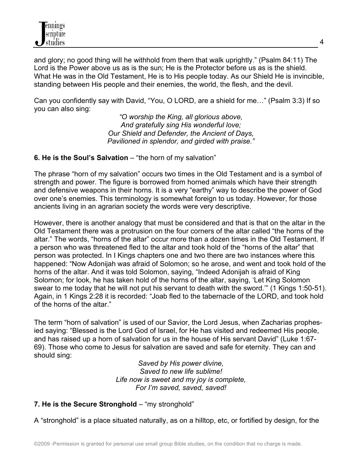and glory; no good thing will he withhold from them that walk uprightly." (Psalm 84:11) The Lord is the Power above us as is the sun; He is the Protector before us as is the shield. What He was in the Old Testament, He is to His people today. As our Shield He is invincible, standing between His people and their enemies, the world, the flesh, and the devil.

Can you confidently say with David, "You, O LORD, are a shield for me…" (Psalm 3:3) If so you can also sing:

*"O worship the King, all glorious above, And gratefully sing His wonderful love; Our Shield and Defender, the Ancient of Days, Pavilioned in splendor, and girded with praise."*

**6. He is the Soul's Salvation** – "the horn of my salvation"

The phrase "horn of my salvation" occurs two times in the Old Testament and is a symbol of strength and power. The figure is borrowed from horned animals which have their strength and defensive weapons in their horns. It is a very "earthy" way to describe the power of God over one's enemies. This terminology is somewhat foreign to us today. However, for those ancients living in an agrarian society the words were very descriptive.

However, there is another analogy that must be considered and that is that on the altar in the Old Testament there was a protrusion on the four corners of the altar called "the horns of the altar." The words, "horns of the altar" occur more than a dozen times in the Old Testament. If a person who was threatened fled to the altar and took hold of the "horns of the altar" that person was protected. In I Kings chapters one and two there are two instances where this happened: "Now Adonijah was afraid of Solomon; so he arose, and went and took hold of the horns of the altar. And it was told Solomon, saying, "Indeed Adonijah is afraid of King Solomon; for look, he has taken hold of the horns of the altar, saying, 'Let King Solomon swear to me today that he will not put his servant to death with the sword.'" (1 Kings 1:50-51). Again, in 1 Kings 2:28 it is recorded: "Joab fled to the tabernacle of the LORD, and took hold of the horns of the altar."

The term "horn of salvation" is used of our Savior, the Lord Jesus, when Zacharias prophesied saying: "Blessed is the Lord God of Israel, for He has visited and redeemed His people, and has raised up a horn of salvation for us in the house of His servant David" (Luke 1:67- 69). Those who come to Jesus for salvation are saved and safe for eternity. They can and should sing:

> *Saved by His power divine, Saved to new life sublime! Life now is sweet and my joy is complete, For I'm saved, saved, saved!*

## **7. He is the Secure Stronghold** – "my stronghold"

A "stronghold" is a place situated naturally, as on a hilltop, etc, or fortified by design, for the